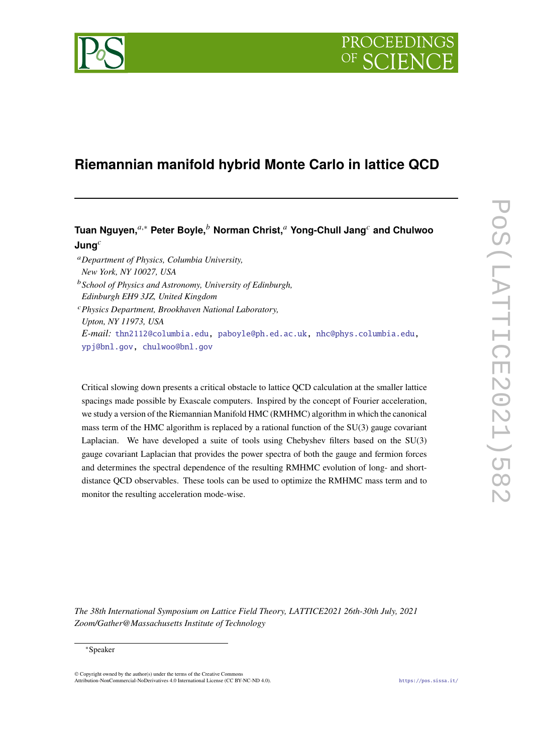

# **Riemannian manifold hybrid Monte Carlo in lattice QCD**

## **Tuan Nguyen,<sup>***a***,∗</sup> Peter Boyle,<sup>***b***</sup> Norman Christ,<sup>***a***</sup> Yong-Chull Jang<sup>***c***</sup> and Chulwoo Jung**

- *Department of Physics, Columbia University, New York, NY 10027, USA*
- *School of Physics and Astronomy, University of Edinburgh, Edinburgh EH9 3JZ, United Kingdom*
- *Physics Department, Brookhaven National Laboratory, Upton, NY 11973, USA E-mail:* [thn2112@columbia.edu,](mailto:thn2112@columbia.edu) [paboyle@ph.ed.ac.uk,](mailto:paboyle@ph.ed.ac.uk) [nhc@phys.columbia.edu,](mailto:nhc@phys.columbia.edu) [ypj@bnl.gov,](mailto:ypj@bnl.gov) [chulwoo@bnl.gov](mailto:chulwoo@bnl.gov)

Critical slowing down presents a critical obstacle to lattice QCD calculation at the smaller lattice spacings made possible by Exascale computers. Inspired by the concept of Fourier acceleration, we study a version of the Riemannian Manifold HMC (RMHMC) algorithm in which the canonical mass term of the HMC algorithm is replaced by a rational function of the SU(3) gauge covariant Laplacian. We have developed a suite of tools using Chebyshev filters based on the SU(3) gauge covariant Laplacian that provides the power spectra of both the gauge and fermion forces and determines the spectral dependence of the resulting RMHMC evolution of long- and shortdistance QCD observables. These tools can be used to optimize the RMHMC mass term and to monitor the resulting acceleration mode-wise.

*The 38th International Symposium on Lattice Field Theory, LATTICE2021 26th-30th July, 2021 Zoom/Gather@Massachusetts Institute of Technology*

#### <sup>∗</sup>Speaker

© Copyright owned by the author(s) under the terms of the Creative Commons Attribution-NonCommercial-NoDerivatives 4.0 International License (CC BY-NC-ND 4.0). <https://pos.sissa.it/>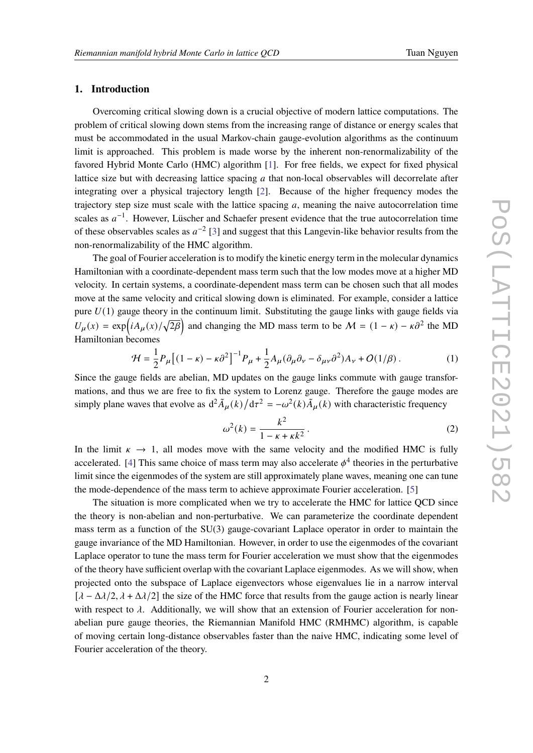### **1. Introduction**

Overcoming critical slowing down is a crucial objective of modern lattice computations. The problem of critical slowing down stems from the increasing range of distance or energy scales that must be accommodated in the usual Markov-chain gauge-evolution algorithms as the continuum limit is approached. This problem is made worse by the inherent non-renormalizability of the favored Hybrid Monte Carlo (HMC) algorithm [\[1\]](#page-6-0). For free fields, we expect for fixed physical lattice size but with decreasing lattice spacing  $a$  that non-local observables will decorrelate after integrating over a physical trajectory length [\[2\]](#page-6-1). Because of the higher frequency modes the trajectory step size must scale with the lattice spacing  $a$ , meaning the naive autocorrelation time scales as  $a^{-1}$ . However, Lüscher and Schaefer present evidence that the true autocorrelation time of these observables scales as  $a^{-2}$  [\[3\]](#page-6-2) and suggest that this Langevin-like behavior results from the non-renormalizability of the HMC algorithm.

The goal of Fourier acceleration is to modify the kinetic energy term in the molecular dynamics Hamiltonian with a coordinate-dependent mass term such that the low modes move at a higher MD velocity. In certain systems, a coordinate-dependent mass term can be chosen such that all modes move at the same velocity and critical slowing down is eliminated. For example, consider a lattice pure  $U(1)$  gauge theory in the continuum limit. Substituting the gauge links with gauge fields via  $U_{\mu}(x) = \exp(iA_{\mu}(x)/\sqrt{2\beta})$  and changing the MD mass term to be  $\mathcal{M} = (1 - \kappa) - \kappa \partial^2$  the MD Hamiltonian becomes

$$
\mathcal{H} = \frac{1}{2} P_{\mu} \left[ (1 - \kappa) - \kappa \partial^2 \right]^{-1} P_{\mu} + \frac{1}{2} A_{\mu} (\partial_{\mu} \partial_{\nu} - \delta_{\mu \nu} \partial^2) A_{\nu} + O(1/\beta) \,. \tag{1}
$$

Since the gauge fields are abelian, MD updates on the gauge links commute with gauge transformations, and thus we are free to fix the system to Lorenz gauge. Therefore the gauge modes are simply plane waves that evolve as  $d^2 \tilde{A}_{\mu}(k) / d\tau^2 = -\omega^2(k) \tilde{A}_{\mu}(k)$  with characteristic frequency

$$
\omega^{2}(k) = \frac{k^{2}}{1 - \kappa + \kappa k^{2}}.
$$
 (2)

In the limit  $\kappa \to 1$ , all modes move with the same velocity and the modified HMC is fully accelerated. [\[4\]](#page-6-3) This same choice of mass term may also accelerate  $\phi^4$  theories in the perturbative limit since the eigenmodes of the system are still approximately plane waves, meaning one can tune the mode-dependence of the mass term to achieve approximate Fourier acceleration. [\[5\]](#page-6-4)

The situation is more complicated when we try to accelerate the HMC for lattice QCD since the theory is non-abelian and non-perturbative. We can parameterize the coordinate dependent mass term as a function of the SU(3) gauge-covariant Laplace operator in order to maintain the gauge invariance of the MD Hamiltonian. However, in order to use the eigenmodes of the covariant Laplace operator to tune the mass term for Fourier acceleration we must show that the eigenmodes of the theory have sufficient overlap with the covariant Laplace eigenmodes. As we will show, when projected onto the subspace of Laplace eigenvectors whose eigenvalues lie in a narrow interval  $[\lambda - \Delta \lambda/2, \lambda + \Delta \lambda/2]$  the size of the HMC force that results from the gauge action is nearly linear with respect to  $\lambda$ . Additionally, we will show that an extension of Fourier acceleration for nonabelian pure gauge theories, the Riemannian Manifold HMC (RMHMC) algorithm, is capable of moving certain long-distance observables faster than the naive HMC, indicating some level of Fourier acceleration of the theory.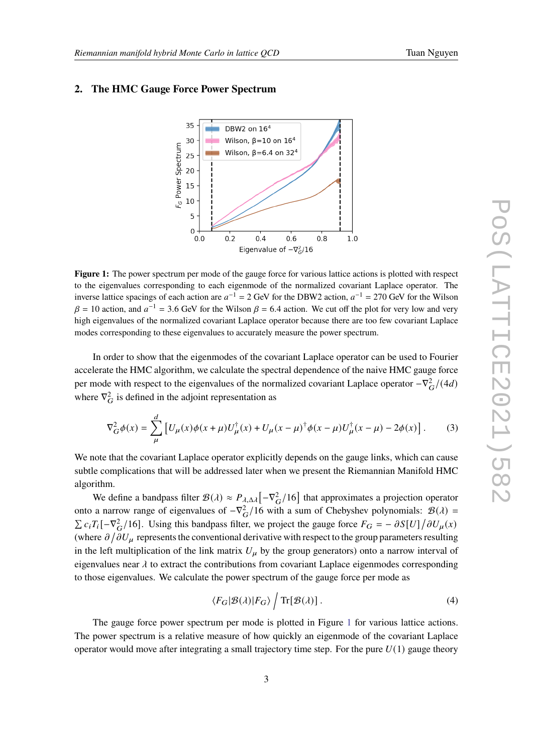

## <span id="page-2-0"></span>**2. The HMC Gauge Force Power Spectrum**

**Figure 1:** The power spectrum per mode of the gauge force for various lattice actions is plotted with respect to the eigenvalues corresponding to each eigenmode of the normalized covariant Laplace operator. The inverse lattice spacings of each action are  $a^{-1} = 2$  GeV for the DBW2 action,  $a^{-1} = 270$  GeV for the Wilson  $\beta = 10$  action, and  $a^{-1} = 3.6$  GeV for the Wilson  $\beta = 6.4$  action. We cut off the plot for very low and very high eigenvalues of the normalized covariant Laplace operator because there are too few covariant Laplace modes corresponding to these eigenvalues to accurately measure the power spectrum.

In order to show that the eigenmodes of the covariant Laplace operator can be used to Fourier accelerate the HMC algorithm, we calculate the spectral dependence of the naive HMC gauge force per mode with respect to the eigenvalues of the normalized covariant Laplace operator  $-\nabla_G^2/(4d)$ where  $\nabla_G^2$  is defined in the adjoint representation as

$$
\nabla_G^2 \phi(x) = \sum_{\mu}^{d} \left[ U_{\mu}(x) \phi(x + \mu) U_{\mu}^{\dagger}(x) + U_{\mu}(x - \mu)^{\dagger} \phi(x - \mu) U_{\mu}^{\dagger}(x - \mu) - 2\phi(x) \right].
$$
 (3)

We note that the covariant Laplace operator explicitly depends on the gauge links, which can cause subtle complications that will be addressed later when we present the Riemannian Manifold HMC algorithm.

We define a bandpass filter  $\mathcal{B}(\lambda) \approx P_{\lambda,\Delta\lambda} \left[ -\nabla_G^2/16 \right]$  that approximates a projection operator onto a narrow range of eigenvalues of  $-\nabla_G^2/16$  with a sum of Chebyshev polynomials:  $\mathcal{B}(\lambda)$  =  $\sum c_i T_i [-\nabla_G^2/16]$ . Using this bandpass filter, we project the gauge force  $F_G = -\partial S[U]/\partial U_\mu(x)$ (where  $\partial/\partial U_\mu$  represents the conventional derivative with respect to the group parameters resulting in the left multiplication of the link matrix  $U_{\mu}$  by the group generators) onto a narrow interval of eigenvalues near  $\lambda$  to extract the contributions from covariant Laplace eigenmodes corresponding to those eigenvalues. We calculate the power spectrum of the gauge force per mode as

$$
\langle F_G|\mathcal{B}(\lambda)|F_G\rangle \int \text{Tr}[\mathcal{B}(\lambda)].\tag{4}
$$

The gauge force power spectrum per mode is plotted in Figure [1](#page-2-0) for various lattice actions. The power spectrum is a relative measure of how quickly an eigenmode of the covariant Laplace operator would move after integrating a small trajectory time step. For the pure  $U(1)$  gauge theory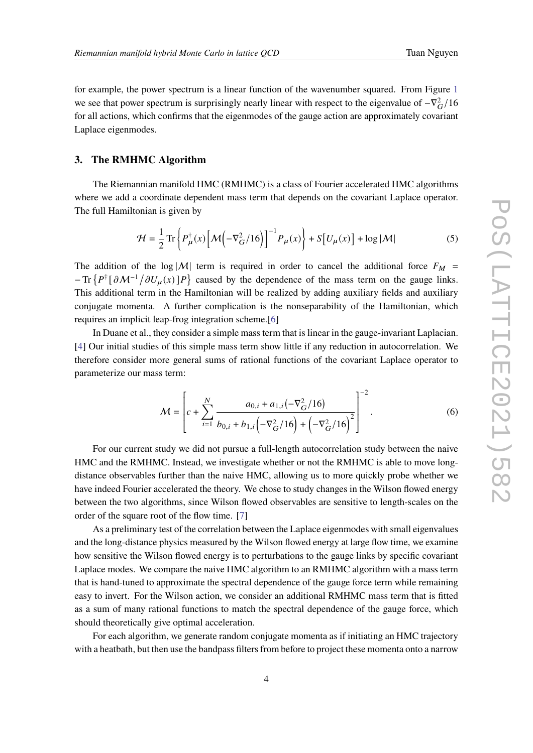for example, the power spectrum is a linear function of the wavenumber squared. From Figure [1](#page-2-0) we see that power spectrum is surprisingly nearly linear with respect to the eigenvalue of  $-\nabla_G^2/16$ for all actions, which confirms that the eigenmodes of the gauge action are approximately covariant Laplace eigenmodes.

#### **3. The RMHMC Algorithm**

The Riemannian manifold HMC (RMHMC) is a class of Fourier accelerated HMC algorithms where we add a coordinate dependent mass term that depends on the covariant Laplace operator. The full Hamiltonian is given by

$$
\mathcal{H} = \frac{1}{2} \operatorname{Tr} \left\{ P_{\mu}^{\dagger}(x) \left[ \mathcal{M} \left( -\nabla_{G}^{2} / 16 \right) \right]^{-1} P_{\mu}(x) \right\} + S \left[ U_{\mu}(x) \right] + \log |\mathcal{M}| \tag{5}
$$

The addition of the log |M| term is required in order to cancel the additional force  $F_M$  =  $-Tr\{P^{\dagger}[\partial M^{-1}/\partial U_{\mu}(x)]P\}$  caused by the dependence of the mass term on the gauge links. This additional term in the Hamiltonian will be realized by adding auxiliary fields and auxiliary conjugate momenta. A further complication is the nonseparability of the Hamiltonian, which requires an implicit leap-frog integration scheme.[\[6\]](#page-6-5)

In Duane et al., they consider a simple mass term that is linear in the gauge-invariant Laplacian. [\[4\]](#page-6-3) Our initial studies of this simple mass term show little if any reduction in autocorrelation. We therefore consider more general sums of rational functions of the covariant Laplace operator to parameterize our mass term:

$$
\mathcal{M} = \left[ c + \sum_{i=1}^{N} \frac{a_{0,i} + a_{1,i}(-\nabla_G^2/16)}{b_{0,i} + b_{1,i}(-\nabla_G^2/16) + (-\nabla_G^2/16)^2} \right]^{-2}.
$$
 (6)

For our current study we did not pursue a full-length autocorrelation study between the naive HMC and the RMHMC. Instead, we investigate whether or not the RMHMC is able to move longdistance observables further than the naive HMC, allowing us to more quickly probe whether we have indeed Fourier accelerated the theory. We chose to study changes in the Wilson flowed energy between the two algorithms, since Wilson flowed observables are sensitive to length-scales on the order of the square root of the flow time. [\[7\]](#page-6-6)

As a preliminary test of the correlation between the Laplace eigenmodes with small eigenvalues and the long-distance physics measured by the Wilson flowed energy at large flow time, we examine how sensitive the Wilson flowed energy is to perturbations to the gauge links by specific covariant Laplace modes. We compare the naive HMC algorithm to an RMHMC algorithm with a mass term that is hand-tuned to approximate the spectral dependence of the gauge force term while remaining easy to invert. For the Wilson action, we consider an additional RMHMC mass term that is fitted as a sum of many rational functions to match the spectral dependence of the gauge force, which should theoretically give optimal acceleration.

For each algorithm, we generate random conjugate momenta as if initiating an HMC trajectory with a heatbath, but then use the bandpass filters from before to project these momenta onto a narrow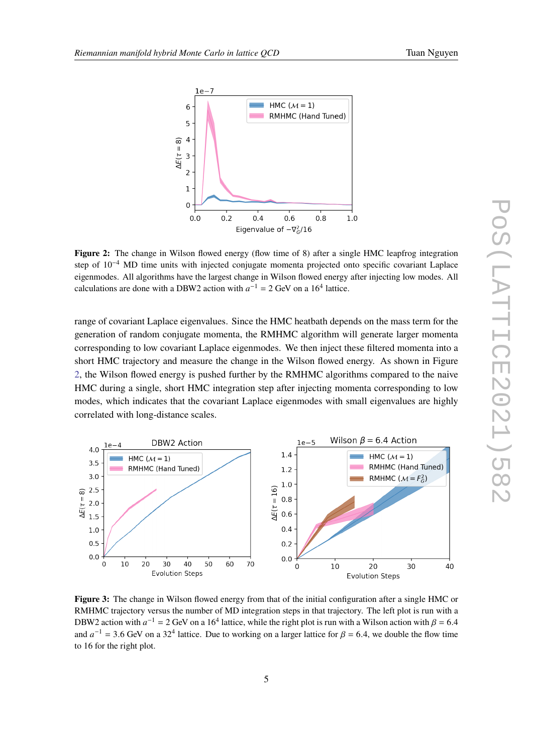$1e$ 



<span id="page-4-0"></span>

**Figure 2:** The change in Wilson flowed energy (flow time of 8) after a single HMC leapfrog integration step of 10−<sup>4</sup> MD time units with injected conjugate momenta projected onto specific covariant Laplace eigenmodes. All algorithms have the largest change in Wilson flowed energy after injecting low modes. All calculations are done with a DBW2 action with  $a^{-1} = 2$  GeV on a 16<sup>4</sup> lattice.

range of covariant Laplace eigenvalues. Since the HMC heatbath depends on the mass term for the generation of random conjugate momenta, the RMHMC algorithm will generate larger momenta corresponding to low covariant Laplace eigenmodes. We then inject these filtered momenta into a short HMC trajectory and measure the change in the Wilson flowed energy. As shown in Figure [2,](#page-4-0) the Wilson flowed energy is pushed further by the RMHMC algorithms compared to the naive HMC during a single, short HMC integration step after injecting momenta corresponding to low modes, which indicates that the covariant Laplace eigenmodes with small eigenvalues are highly correlated with long-distance scales.

<span id="page-4-1"></span>

**Figure 3:** The change in Wilson flowed energy from that of the initial configuration after a single HMC or RMHMC trajectory versus the number of MD integration steps in that trajectory. The left plot is run with a DBW2 action with  $a^{-1} = 2$  GeV on a 16<sup>4</sup> lattice, while the right plot is run with a Wilson action with  $\beta = 6.4$ and  $a^{-1}$  = 3.6 GeV on a 32<sup>4</sup> lattice. Due to working on a larger lattice for  $\beta$  = 6.4, we double the flow time to 16 for the right plot.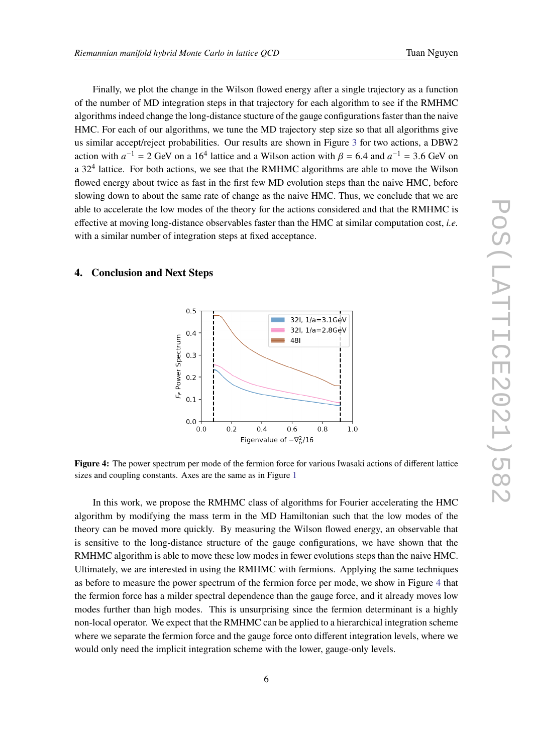Finally, we plot the change in the Wilson flowed energy after a single trajectory as a function of the number of MD integration steps in that trajectory for each algorithm to see if the RMHMC algorithms indeed change the long-distance stucture of the gauge configurations faster than the naive HMC. For each of our algorithms, we tune the MD trajectory step size so that all algorithms give us similar accept/reject probabilities. Our results are shown in Figure [3](#page-4-1) for two actions, a DBW2 action with  $a^{-1} = 2$  GeV on a 16<sup>4</sup> lattice and a Wilson action with  $\beta = 6.4$  and  $a^{-1} = 3.6$  GeV on a  $32<sup>4</sup>$  lattice. For both actions, we see that the RMHMC algorithms are able to move the Wilson flowed energy about twice as fast in the first few MD evolution steps than the naive HMC, before slowing down to about the same rate of change as the naive HMC. Thus, we conclude that we are able to accelerate the low modes of the theory for the actions considered and that the RMHMC is effective at moving long-distance observables faster than the HMC at similar computation cost, *i.e.* with a similar number of integration steps at fixed acceptance.

## <span id="page-5-0"></span>**4. Conclusion and Next Steps**



**Figure 4:** The power spectrum per mode of the fermion force for various Iwasaki actions of different lattice sizes and coupling constants. Axes are the same as in Figure [1](#page-2-0)

In this work, we propose the RMHMC class of algorithms for Fourier accelerating the HMC algorithm by modifying the mass term in the MD Hamiltonian such that the low modes of the theory can be moved more quickly. By measuring the Wilson flowed energy, an observable that is sensitive to the long-distance structure of the gauge configurations, we have shown that the RMHMC algorithm is able to move these low modes in fewer evolutions steps than the naive HMC. Ultimately, we are interested in using the RMHMC with fermions. Applying the same techniques as before to measure the power spectrum of the fermion force per mode, we show in Figure [4](#page-5-0) that the fermion force has a milder spectral dependence than the gauge force, and it already moves low modes further than high modes. This is unsurprising since the fermion determinant is a highly non-local operator. We expect that the RMHMC can be applied to a hierarchical integration scheme where we separate the fermion force and the gauge force onto different integration levels, where we would only need the implicit integration scheme with the lower, gauge-only levels.